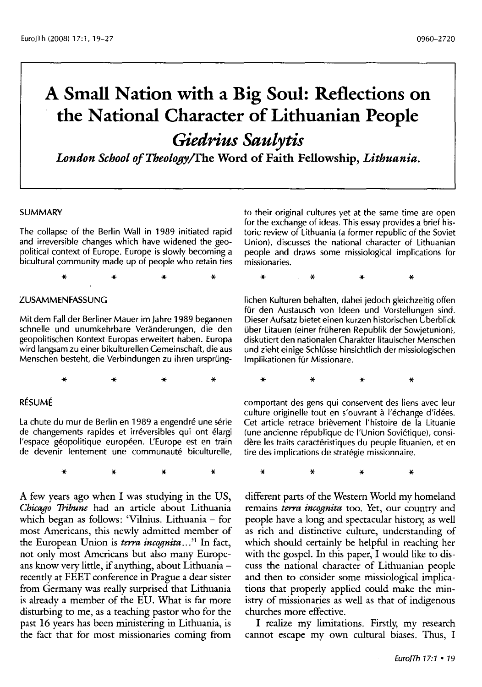# **A Small Nation with a Big Soul: Reflections on the National Character of Lithuanian People**

*Giedrius Saulytis* 

*London School ofTbeology/fhe* **Word of Faith Fellowship,** *Lithuania.* 

#### SUMMARY

The collapse of the Berlin Wall in 1989 initiated rapid and irreversible changes which have widened the geopolitical context of Europe. Europe is slowly becoming a bicultural community made up of people who retain ties

\* \* \* \*

#### ZUSAMMENFASSUNG

Mit dem Fall der Berliner Mauer im Jahre 1989 begannen schnelle und unumkehrbare Veranderungen, die den geopolitischen Kontext Europas erweitert haben. Europa wird langsam zu einer bikulturellen Gemeinschaft, die aus Menschen besteht, die Verbindungen zu ihren ursprüng-

\* \* \* \*

#### RÉSUMÉ

La chute du mur de Berlin en 1989 a engendré une série de changements rapides et irréversibles qui ont élargi l'espace géopolitique européen. L'Europe est en train de devenir lentement une communauté biculturelle,

\* \* \* \*

A few years ago when I was studying in the US, *Chicago Tribune* had an article about Lithuania which began as follows: 'Vilnius. Lithuania- for most Americans, this newly admitted member of the European Union is *terra incognita ... ' <sup>1</sup>*In fact, not only most Americans but also many Europeans know very little, if anything, about Lithuania recently at FEET conference in Prague a dear sister from Germany was really surprised that Lithuania is already a member of the EU. What is far more disturbing to me, as a teaching pastor who for the past 16 years has been ministering in Lithuania, is the fact that for most missionaries coming from

to their original cultures yet at the same time are open for the exchange of ideas. This essay provides a brief historic review of Lithuania (a former republic of the Soviet Union). discusses the national character of Lithuanian people and draws some missiological implications for missionaries.

\* \* \* \* lichen Kulturen behalten, dabei jedoch gleichzeitig offen für den Austausch von Ideen und Vorstellungen sind. Dieser Aufsatz bietet einen kurzen historischen Uberblick uber Litauen (einer fruheren Republik der Sowjetunion), diskutiert den nationalen Charakter litauischer Menschen und zieht einige Schlusse hinsichtlich der missiologischen

Implikationen für Missionare.

\* \* \* \* comportant des gens qui conservent des liens avec leur culture originelle tout en s'ouvrant a l'echange d'idees. Cet article retrace brievement l'histoire de la Lituanie (une ancienne république de l'Union Soviétique), considère les traits caractéristiques du peuple lituanien, et en

tire des implications de strategie missionnaire.

\* \* \* \*

different parts of the Western World my homeland remains *terra incognita* too. Yet, our country and people have a long and spectacular history, as well as rich and distinctive culture, understanding of which should certainly be helpful in reaching her with the gospel. In this paper, I would like to discuss the national character of Lithuanian people and then to consider some missiological implications that properly applied could make the ministry of missionaries as well as that of indigenous churches more effective.

I realize my limitations. Firstly, my research cannot escape my own cultural biases. Thus, I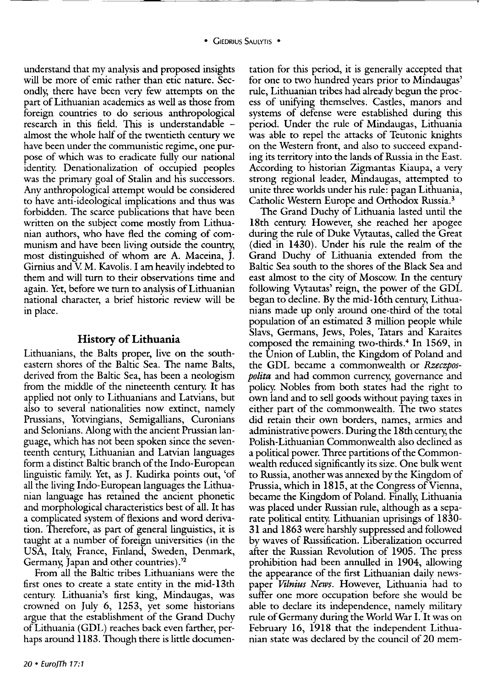understand that my analysis and proposed insights will be more of emic rather than etic nature. Secondly, there have been very few attempts on the part of Lithuanian academics as well as those from foreign countries to do serious anthropological research in this field. This is understandable almost the whole half of the twentieth century we have been under the communistic regime, one purpose of which was to eradicate fully our national identity. Denationalization of occupied peoples was the primary goal of Stalin and his successors. Any anthropological attempt would be considered to have anti-ideological implications and thus was forbidden. The scarce publications that have been written on the subject come mostly from Lithuanian authors, who have fled the coming of communism and have been living outside the country, most distinguished of whom are A. Maceina, J. Girnius and V. M. Kavolis. I am heavily indebted to them and will turn to their observations time and again. Yet, before we turn to analysis of Lithuanian national character, a brief historic review will be in place.

#### **History of Lithuania**

Lithuanians, the Balts proper, live on the southeastern shores of the Baltic Sea. The name Balts, derived from the Baltic Sea, has been a neologism from the middle of the nineteenth century. It has applied not only to Lithuanians and Latvians, but also to several nationalities now extinct, namely Prussians, Yotvingians, Semigallians, Curonians and Selonians. Along with the ancient Prussian language, which has not been spoken since the seventeenth century, Lithuanian and Latvian languages form a distinct Baltic branch of the Indo-European linguistic family. Yet, as J. Kudirka points out, 'of all the living Indo-European languages the Lithuanian language has retained the ancient phonetic and morphological characteristics best of all. It has a complicated system of flexions and word derivation. Therefore, as part of general linguistics, it is taught at a number of foreign universities (in the USA, Italy, France, Finland, Sweden, Denmark, Germany, Japan and other countries).'2

From all the Baltic tribes Lithuanians were the first ones to create a state entity in the mid-13th century. Lithuania's first king, Mindaugas, was crowned on July 6, 1253, yet some historians argue that the establishment of the Grand Duchy of Lithuania (GDL) reaches back even farther, perhaps around 1183. Though there is little documentation for this period, it is generally accepted that for one to two hundred years prior to Mindaugas' rule, Lithuanian tribes had already begun the process of unifying themselves. Castles, manors and systems of defense were established during this period. Under the rule of Mindaugas, Lithuania was able to repel the attacks of Teutonic knights on the Western front, and also to succeed expanding its territory into the lands of Russia in the East. According to historian Zigmantas Kiaupa, a very strong regional leader, Mindaugas, attempted to unite three worlds under his rule: pagan Lithuania, Catholic Western Europe and Orthodox Russia. 3

The Grand Duchy of Lithuania lasted until the 18th century. However, she reached her apogee during the rule of Duke Vytautas, called the Great (died in 1430). Under his rule the realm of the Grand Duchy of Lithuania extended from the Baltic Sea south to the shores of the Black Sea and east almost to the city of Moscow. In the century following Vytautas' reign, the power of the GDL began to decline. By the mid-16th century, Lithuanians made up only around one-third of the total population of an estimated 3 million people while Slavs, Germans, Jews, Poles, Tatars and Karaites composed the remaining two-thirds.4 In 1569, in the Union of Lublin, the Kingdom of Poland and the GDL became a commonwealth or *Rzeczpospolita* and had common currency, governance and policy. Nobles from both states had the right to own land and to sell goods without paying taxes in either part of the commonwealth. The two states did retain their own borders, names, armies and administrative powers. During the 18th century, the Polish-Lithuanian Commonwealth also declined as a political power. Three partitions of the Commonwealth reduced significantly its size. One bulk went to Russia, another was annexed by the Kingdom of Prussia, which in 1815, at the Congress of Vienna, became the Kingdom of Poland. Finally; Lithuania was placed under Russian rule, although as a separate political entity. Lithuanian uprisings of 1830- 31 and 1863 were harshly suppressed and followed by waves of Russification. Liberalization occurred after the Russian Revolution of 1905. The press prohibition had been annulled in 1904, allowing the appearance of the first Lithuanian daily newspaper *Vilnius News.* However, Lithuania had to suffer one more occupation before she would be able to declare its independence, namely military rule of Germany during the World War I. It was on February 16, 1918 that the independent Lithuanian state was declared by the council of 20 mem-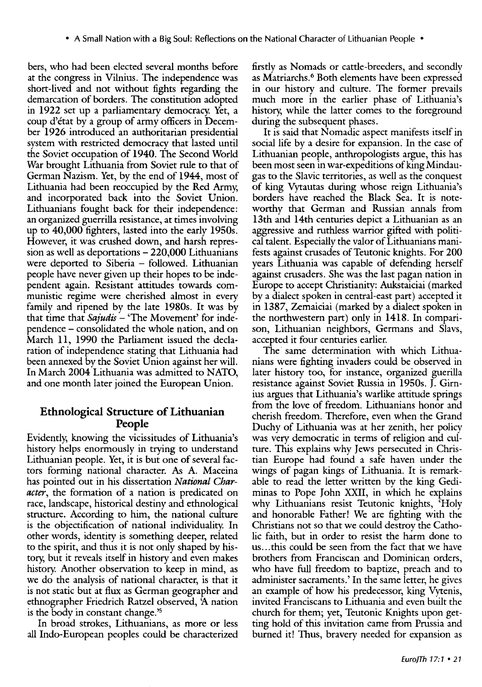bers, who had been elected several months before at the congress in Vilnius. The independence was short-lived and not without fights regarding the demarcation of borders. The constitution adopted in 1922 set up a parliamentary democracy. Yet, a coup d'état by a group of army officers in December 1926 introduced an authoritarian presidential system with restricted democracy that lasted until the Soviet occupation of 1940. The Second World War brought Lithuania from Soviet rule to that of German Nazism. Yet, by the end of 1944, most of Lithuania had been reoccupied by the Red Army; and incorporated back into the Soviet Union. Lithuanians fought back for their independence: an organized guerrilla resistance, at times involving up to 40,000 fighters, lasted into the early 1950s. However, it was crushed down, and harsh repression as well as deportations  $-220,000$  Lithuanians were deported to Siberia – followed. Lithuanian people have never given up their hopes to be independent again. Resistant attitudes towards communistic regime were cherished almost in every family and ripened by the late 1980s. It was by that time that *Sajudis* – 'The Movement' for independence - consolidated the whole nation, and on March 11, 1990 the Parliament issued the declaration of independence stating that Lithuania had been annexed by the Soviet Union against her will. In March 2004 Lithuania was admitted to NATO, and one month later joined the European Union.

# **Ethnological Structure of Lithuanian People**

Evidently; knowing the vicissitudes of Lithuania's history helps enormously in trying to understand Lithuanian people. Yet, it is but one of several factors forming national character. As A. Maceina has pointed out in his dissertation *National Character,* the formation of a nation is predicated on race, landscape, historical destiny and ethnological structure. According to him, the national culture is the objectification of national individuality. In other words, identity is something deeper, related to the spirit, and thus it is not only shaped by history; but it reveals itself in history and even makes history. Another observation to keep in mind, as we do the analysis of national character, is that it is not static but at flux as German geographer and ethnographer Friedrich Ratzel observed, *1\.* nation is the body in constant change.'5

In broad strokes, Lithuanians, as more or less all Indo-European peoples could be characterized

firstly as Nomads or cattle-breeders, and secondly as Matriarchs. 6 Both elements have been expressed in our history and culture. The former prevails much more in the earlier phase of Lithuania's history; while the latter comes to the foreground during the subsequent phases.

It is said that Nomadic aspect manifests itself in social life by a desire for expansion. In the case of Lithuanian people, anthropologists argue, this has been most seen in war-expeditions of king Mindaugas to the Slavic territories, as well as the conquest of king Vytautas during whose reign Lithuania's borders have reached the Black Sea. It is noteworthy that German and Russian annals from 13th and 14th centuries depict a Lithuanian as an aggressive and ruthless warrior gifted with political talent. Especially the valor of Lithuanians manifests against crusades of Teutonic knights. For 200 years Lithuania was capable of defending herself against crusaders. She was the last pagan nation in Europe to accept Christianity: Aukstaiciai (marked by a dialect spoken in central-east part) accepted it in 1387, Zemaiciai (marked by a dialect spoken in the northwestern part) only in 1418. In comparison, Lithuanian neighbors, Germans and Slavs, accepted it four centuries earlier.

The same determination with which Lithuanians were fighting invaders could be observed in later history too, for instance, organized guerilla resistance against Soviet Russia in 1950s. J. Girnius argues that Lithuania's warlike attitude springs from the love of freedom. Lithuanians honor and cherish freedom. Therefore, even when the Grand Duchy of Lithuania was at her zenith, her policy was very democratic in terms of religion and culture. This explains why Jews persecuted in Christian Europe had found a safe haven under the wings of pagan kings of Lithuania. It is remarkable to read the letter written by the king Gediminas to Pope John XXIT, in which he explains why Lithuanians resist Teutonic knights, 'Holy and honorable Father! We are fighting with the Christians not so that we could destrov the Catholic faith, but in order to resist the harm done to us...this could be seen from the fact that we have brothers from Franciscan and Dominican orders, who have full freedom to baptize, preach and to administer sacraments.' In the same letter, he gives an example of how his predecessor, king Vytenis, invited Franciscans to Lithuania and even built the church for them; yet, Teutonic Knights upon getting hold of this invitation came from Prussia and burned it! Thus, bravery needed for expansion as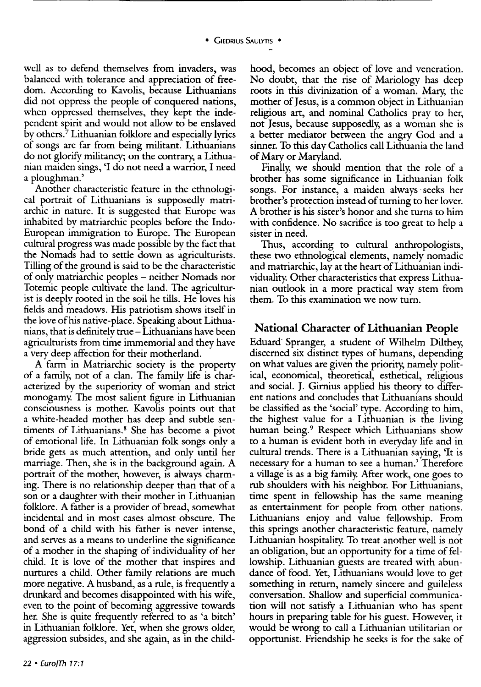well as to defend themselves from invaders, was balanced with tolerance and appreciation of freedom. According to Kavolis, because Lithuanians did not oppress the people of conquered nations, when oppressed themselves, they kept the independent spirit and would not allow to be enslaved by others. 7 Lithuanian folklore and especially lyrics of songs are far from being militant. Lithuanians do not glorify militancy; on the contrary, a Lithuanian maiden sings, 'I do not need a warrior, I need a ploughman.'

Another characteristic feature in the ethnological portrait of Lithuanians is supposedly matriarchic in nature. It is suggested that Europe was inhabited by matriarchic peoples before the Indo-European immigration to Europe. The European cultural progress was made possible by the fact that the Nomads had to settle down as agriculturists. Tilling of the ground is said to be the characteristic of only matriarchic peoples - neither Nomads nor Totemic people cultivate the land. The agriculturist is deeply rooted in the soil he tills. He loves his fields and meadows. His patriotism shows itself in the love of his native-place. Speaking about Lithuanians, that is definitely true- Lithuanians have been agriculturists from time immemorial and they have a very deep affection for their motherland.

A farm in Matriarchic society is the property of a family, not of a clan. The family life is characterized by the superiority of woman and strict monogamy. The most salient figure in Lithuanian consciousness is mother. Kavolis points out that a white-headed mother has deep and subtle sentiments of Lithuanians. 8 She has become a pivot of emotional life. In Lithuanian folk songs only a bride gets as much attention, and only until her marriage. Then, she is in the background again. A portrait of the mother, however, is always charming. There is no relationship deeper than that of a son or a daughter with their mother in Lithuanian folklore. A father is a provider of bread, somewhat incidental and in most cases almost obscure. The bond of a child with his father is never intense, and serves as a means to underline the significance of a mother in the shaping of individuality of her child. It is love of the mother that inspires and nurtures a child. Other family relations are much more negative. A husband, as a rule, is frequently a drunkard and becomes disappointed with his wife, even to the point of becoming aggressive towards her. She is quite frequently referred to as 'a bitch' in Lithuanian folklore. Yet, when she grows older, aggression subsides, and she again, as in the child-

hood, becomes an object of love and veneration. No doubt, that the rise of Mariology has deep roots in this divinization of a woman. Mary, the mother of Jesus, is a common object in Lithuanian religious art, and nominal Catholics pray to her, not Jesus, because supposedly, as a woman she is a better mediator between the angry God and a sinner. To this day Catholics call Lithuania the land of Mary or Maryland.

Finally, we should mention that the role of a brother has some significance in Lithuanian folk songs. For instance, a maiden always ·seeks her brother's protection instead of turning to her lover. A brother is his sister's honor and she turns to him with confidence. No sacrifice is too great to help a sister in need.

Thus, according to cultural anthropologists, these two ethnological elements, namely nomadic and matriarchic, lay at the heart of Lithuanian individuality. Other characteristics that express Lithuanian outlook in a more practical way stem from them. To this examination we now turn.

## **National Character of Lithuanian People**

Eduard Spranger, a student of Wilhelm Dilthey, discerned six distinct types of humans, depending on what values are given the priority, namely political, economical, theoretical, esthetical, religious and social. **J.** Girnius applied his theory to different nations and concludes that Lithuanians should be classified as the 'social' type. According to him, the highest value for a Lithuanian is the living human being.9 Respect which Lithuanians show to a human is evident both in everyday life and in cultural trends. There is a Lithuanian saying, 'It is necessary for a human to see a human.' Therefore a village is as a big family. After work, one goes to rub shoulders with his neighbor. For Lithuanians, time spent in fellowship has the same meaning as entertainment for people from other nations. Lithuanians enjoy and value fellowship. From this springs another characteristic feature, namely Lithuanian hospitality. To treat another well is not an obligation, but an opportunity for a time of fellowship. Lithuanian guests are treated with abundance of food. Yet, Lithuanians would love to get something in return, namely sincere and guileless conversation. Shallow and superficial communication will not satisfy a Lithuanian who has spent hours in preparing table for his guest. However, it would be wrong to call a Lithuanian utilitarian or opportunist. Friendship he seeks is for the sake of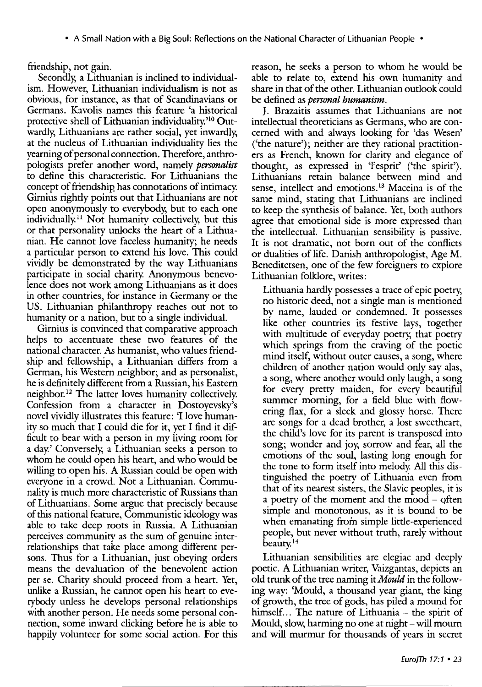• A Small Nation with a Big Soul: Reflections on the National Character of Lithuanian People •

friendship, not gain.

Secondly, a Lithuanian is inclined to individualism. However, Lithuanian individualism is not as obvious, for instance, as that of Scandinavians or Germans. Kavolis names this feature 'a historical protective shell of Lithuanian individuality.'10 Outwardly, Lithuanians are rather social, yet inwardly, at the nucleus of Lithuanian individuality lies the yearning of personal connection. Therefore, anthropologists prefer another word, namely *personalist*  to define this characteristic. For Lithuanians the concept of friendship has connotations of intimacy. Girnius rightly points out that Lithuanians are not open anonymously to everybody, but to each one individually. 11 Not humanity collectively, but this or that personality unlocks the heart of a Lithuanian. He cannot love faceless humanity; he needs a particular person to extend his love. This could vividly be demonstrated by the way Lithuanians participate in social charity. Anonymous benevolence does not work among Lithuanians as it does in other countries, for instance in Germany or the US. Lithuanian philanthropy reaches out not to humanity or a nation, but to a single individual.

Girnius is convinced that comparative approach helps to accentuate these two features of the national character. *As* humanist, who values friendship and fellowship, a Lithuanian differs from a German, his Western neighbor; and as personalist, he is definitely different from a Russian, his Eastern neighbor. 12 The latter loves humanity collectively. Confession from a character in Dostoyevsky's novel vividly illustrates this feature: 'I love humanity so much that I could die for it, yet I find it difficult to bear with a person in my living room for a day.' Conversely, a Lithuanian seeks a person to whom he could open his heart, and who would be willing to open his. A Russian could be open with everyone in a crowd. Not a Lithuanian. Communality is much more characteristic of Russians than of Lithuanians. Some argue that precisely because of this national feature, Communistic ideology was able to take deep roots in Russia. A Lithuanian perceives community as the sum of genuine interrelationships that take place among different persons. Thus for a Lithuanian, just obeying orders means the devaluation of the benevolent action per se. Charity should proceed from a heart. Yet, unlike a Russian, he cannot open his heart to everybody unless he develops personal relationships with another person. He needs some personal connection, some inward clicking before he is able to happily volunteer for some social action. For this

reason, he seeks a person to whom he would be able to relate to, extend his own humanity and share in that of the other. Lithuanian outlook could be defined as *personal humanism.* 

J. Brazaitis assumes that Lithuanians are not intellectual theoreticians as Germans, who are concerned with and always looking for 'das Wesen' ('the nature'); neither are they rational practitioners as French, known for clarity and elegance of thought, as expressed in 'l'esprit' ('the spirit'). Lithuanians retain balance between mind and sense, intellect and emotions. 13 Maceina is of the same mind, stating that Lithuanians are inclined to keep the synthesis of balance. Yet, both authors agree that emotional side is more expressed than the intellectual. Lithuanian sensibility is passive. It is not dramatic, not born out of the conflicts or dualities of life. Danish anthropologist, Age M. Beneditctsen, one of the few foreigners to explore Lithuanian folklore, writes:

Lithuania hardly possesses a trace of epic poetry, no historic deed, not a single man is mentioned by name, lauded or condemned. It possesses like other countries its festive lays, together with multitude of everyday poetry, that poetry which springs from the craving of the poetic mind itself, without outer causes, a song, where children of another nation would only say alas, a song, where another would only laugh, a song for every pretty maiden, for every beautiful summer morning, for a field blue with flowering flax, for a sleek and glossy horse. There are songs for a dead brother, a lost sweetheart, the child's love for its parent is transposed into song; wonder and joy, sorrow and fear, all the emotions of the soul, lasting long enough for the tone to form itself into melody. All this distinguished the poetry of Lithuania even from that of its nearest sisters, the Slavic peoples, it is a poetry of the moment and the mood - often simple and monotonous, as it is bound to be when emanating from simple little-experienced people, but never without truth, rarely without beauty. <sup>14</sup>

Lithuanian sensibilities are elegiac and deeply poetic. A Lithuanian writer, Vaizgantas, depicts an old trunk of the tree naming it *Mould* in the following way: 'Mould, a thousand year giant, the king of growth, the tree of gods, has piled a mound for himself... The nature of Lithuania - the spirit of Mould, slow, harming no one at night- will mourn and will murmur for thousands of years in secret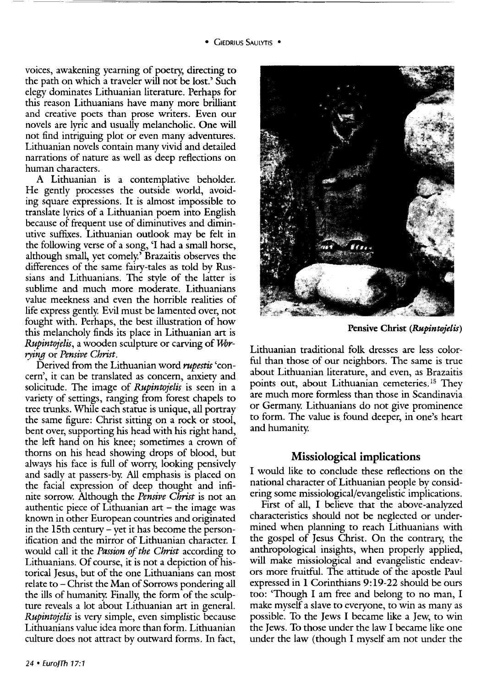voices, awakening yearning of poetry; directing to the path on which a traveler will not be lost.' Such elegy dominates Lithuanian literature. Perhaps for this reason Lithuanians have many more brilliant and creative poets than prose writers. Even our novels are lyric and usually melancholic. One will not find intriguing plot or even many adventures. Lithuanian novels contain many vivid and detailed narrations of nature as well as deep reflections on human characters.

A Lithuanian is a contemplative beholder. He gently processes the outside world, avoiding square expressions. It is almost impossible to translate lyrics of a Lithuanian poem into English because of frequent use of diminutives and diminutive suffixes. Lithuanian outlook may be felt in the following verse of a song, 'I had a small horse, although small, yet comely.<sup>5</sup> Brazaitis observes the differences of the same fairy-tales as told by Russians and Lithuanians. The style of the latter is sublime and much more moderate. Lithuanians value meekness and even the horrible realities of life express gently. Evil must be lamented over, not fought with. Perhaps, the best illustration of how this melancholy finds its place in Lithuanian art is *Rupintojelis, a wooden sculpture or carving of Worrying* or *Pensive Christ.* 

Derived from the Lithuanian word *rupestis* 'concern', it can be translated as concern, anxiety and solicitude. The image of *Rupintojelis* is seen in a variety of settings, ranging from forest chapels to tree trunks. While each statue is unique, all portray the same figure: Christ sitting on a rock or stool, bent over, supporting his head with his right hand, the left hand on his knee; sometimes a crown of thorns on his head showing drops of blood, but always his face is full of worry; looking pensively and sadly at passers-by. All emphasis is placed on the facial expression of deep thought and infinite sorrow. Although the *Pensive Christ* is not an authentic piece of Lithuanian art  $-$  the image was known in other European countries and originated in the 15th century- yet it has become the personification and the mirror of Lithuanian character. I would call it the *Passion of the Christ* according to Lithuanians. Of course, it is not a depiction of historical Jesus, but of the one Lithuanians can most relate to- Christ the Man of Sorrows pondering all the ills of humanity. Finally, the form of the sculpture reveals a lot about Lithuanian art in general. *Rupintojelis* is very simple, even simplistic because Lithuanians value idea more than form. Lithuanian culture does not attract by outward forms. In fact,



Pensive Christ *(Rupintojelis)* 

Lithuanian traditional folk dresses are less colorful than those of our neighbors. The same is true about Lithuanian literature, and even, as Brazaitis points out, about Lithuanian cemeteries. 15 They are much more formless than those in Scandinavia or Germany. Lithuanians do not give prominence to form. The value is found deeper, in one's heart and humanity.

## Missiological implications

I would like to conclude these reflections on the national character of Lithuanian people by considering some missiological/evangelistic implications.

First of all, I believe that the above-analyzed characteristics should not be neglected or undermined when planning to reach Lithuanians with the gospel of Jesus Christ. On the contrary; the anthropological insights, when properly applied, will make missiological and evangelistic endeavors more fruitful. The attitude of the apostle Paul expressed in 1 Corinthians 9: 19-22 should be ours too: 'Though I am free and belong to no man, I make myself a slave to everyone, to win as many as possible. To the Jews I became like a Jew, to win the Jews. To those under the law I became like one under the law (though I myself am not under the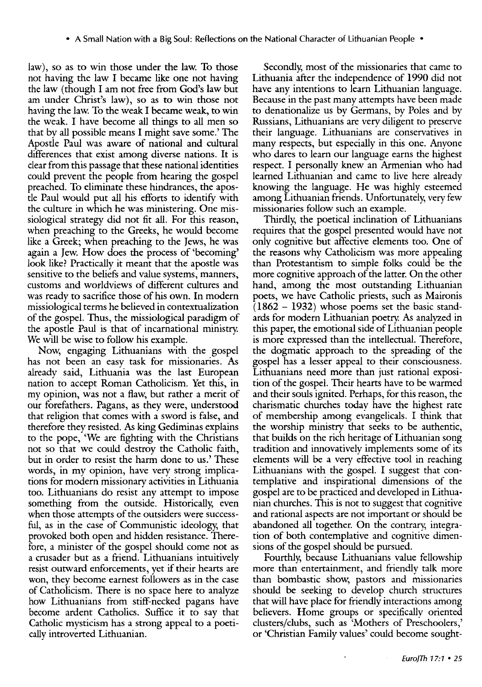law), so as to win those under the law. To those not having the law I became like one not having the law (though I am not free from God's law but am under Christ's law), so as to win those not having the law. To the weak I became weak, to win the weak. I have become all things to all men so that by all possible means I might save some.' The Apostle Paul was aware of national and cultural differences that exist among diverse nations. It is clear from this passage that these national identities could prevent the people from hearing the gospel preached. To eliminate these hindrances, the apostle Paul would put all his efforts to identify with the culture in which he was ministering. One missiological strategy did not fit all. For this reason, when preaching to the Greeks, he would become like a Greek; when preaching to the Jews, he was again a Jew. How does the process of 'becoming' look like? Practically it meant that the apostle was sensitive to the beliefs and value systems, manners, customs and worldviews of different cultures and was ready to sacrifice those of his own. In modern missiological terms he believed in contextualization of the gospel. Thus, the missiological paradigm of the apostle Paul is that of incarnational ministry. We will be wise to follow his example.

Now, engaging Lithuanians with the gospel has not been an easy task for missionaries. As already said, Lithuania was the last European nation to accept Roman Catholicism. Yet this, in my opinion, was not a flaw, but rather a merit of our forefathers. Pagans, as they were, understood that religion that comes with a sword is false, and therefore they resisted. As king Gediminas explains to the pope, 'We are fighting with the Christians not so that we could destroy the Catholic faith, but in order to resist the harm done to us.' These words, in my opinion, have very strong implications for modern missionary activities in Lithuania too. Lithuanians do resist any attempt to impose something from the outside. Historically, even when those attempts of the outsiders were successful, as in the case of Communistic ideology, that provoked both open and hidden resistance. Therefore, a minister of the gospel should come not as a crusader but as a friend. Lithuanians intuitively resist outward enforcements, yet if their hearts are won, they become earnest followers as in the case of Catholicism. There is no space here to analyze how Lithuanians from stiff-necked pagans have become ardent Catholics. Suffice it to say that Catholic mysticism has a strong appeal to a poetically introverted Lithuanian.

Secondly, most of the missionaries that came to Lithuania after the independence of 1990 did not have any intentions to learn Lithuanian language. Because in the past many attempts have been made to denationalize us by Germans, by Poles and by Russians, Lithuanians are very diligent to preserve their language. Lithuanians are conservatives in many respects, but especially in this one. Anyone who dares to learn our language earns the highest respect. I personally knew an Armenian who had learned Lithuanian and came to live here already knowing the language. He was highly esteemed among Lithuanian friends. Unfortunately, very few missionaries follow such an example.

Thirdly, the poetical inclination of Lithuanians requires that the gospel presented would have not only cognitive but affective elements too. One of the reasons why Catholicism was more appealing than Protestantism to simple folks could be the more cognitive approach of the latter. On the other hand, among the most outstanding Lithuanian poets, we have Catholic priests, such as Maironis  $(1862 - 1932)$  whose poems set the basic standards for modern Lithuanian poetry. As analyzed in this paper, the emotional side of Lithuanian people is more expressed than the intellectual. Therefore, the dogmatic approach to the spreading of the gospel has a lesser appeal to their consciousness. Lithuanians need more than just rational exposition of the gospel. Their hearts have to be warmed and their souls ignited. Perhaps, for this reason, the charismatic churches today have the highest rate of membership among evangelicals. I think that the worship ministry that seeks to be authentic, that builds on the rich heritage of Lithuanian song tradition and innovatively implements some of its elements will be a very effective tool in reaching Lithuanians with the gospel. I suggest that contemplative and inspirational dimensions of the gospel are to be practiced and developed in Lithuanian churches. This is not to suggest that cognitive and rational aspects are not important or should be abandoned all together. On the contrary, integration of both contemplative and cognitive dimensions of the gospel should be pursued.

Fourthly, because Lithuanians value fellowship more than entertainment, and friendly talk more than bombastic show, pastors and missionaries should be seeking to develop church structures that will have place for friendly interactions among believers. Home groups or specifically oriented clusters/dubs, such as 'Mothers of Preschoolers,' or 'Christian Family values' could become sought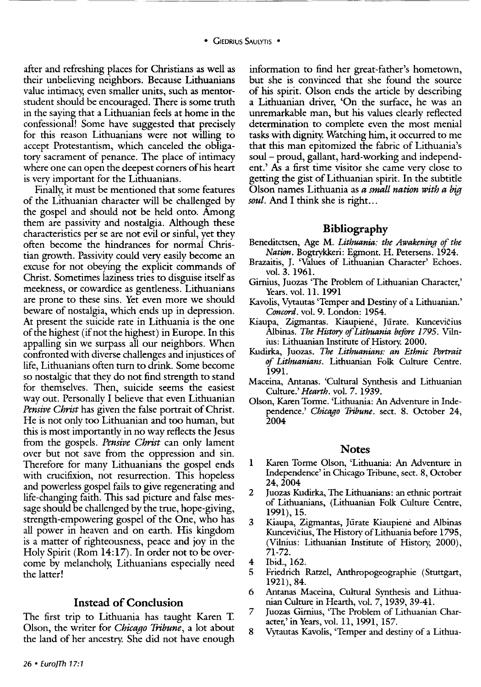after and refreshing places for Christians as well as their unbelieving neighbors. Because Lithuanians value intimacy, even smaller units, such as mentorstudent should be encouraged. There is some truth in the saying that a Lithuanian feels at home in the confessional! Some have suggested that precisely for this reason Lithuanians were not willing to accept Protestantism, which canceled the obligatory sacrament of penance. The place of intimacy where one can open the deepest corners of his heart is very important for the Lithuanians.

Finally, it must be mentioned that some features of the Lithuanian character will be challenged by the gospel and should not be held onto. Among them are passivity and nostalgia. Although these characteristics per se are not evil or sinful, yet they often become the hindrances for normal Christian growth. Passivity could very easily become an excuse for not obeying the explicit commands of Christ. Sometimes laziness tries to disguise itself as meekness, or cowardice as gentleness. Lithuanians are prone to these sins. Yet even more we should beware of nostalgia, which ends up in depression. At present the suicide rate in Lithuania is the one of the highest (if not the highest) in Europe. In this appalling sin we surpass all our neighbors. When confronted with diverse challenges and injustices of life, Lithuanians often turn to drink. Some become so nostalgic that they do not find strength to stand for themselves. Then, suicide seems the easiest way out. Personally I believe that even Lithuanian *Pensive Christ* has given the false portrait of Christ. He is not only too Lithuanian and too human, but this is most importantly in no way reflects the Jesus from the gospels. *Pensive Christ* can only lament over but not save from the oppression and sin. Therefore for many Lithuanians the gospel ends with crucifixion, not resurrection. This hopeless and powerless gospel fails to give regenerating and life-changing faith. This sad picture and false message should be challenged by the true, hope-giving, strength-empowering gospel of the One, who has all power in heaven and on earth. His kingdom is a matter of righteousness, peace and joy in the Holy Spirit (Rom 14:17). In order not to be overcome by melancholy, Lithuanians especially need the latter!

#### **Instead of Conclusion**

The first trip to Lithuania has taught Karen T. Olson, the writer for *Chicago Tribune,* a lot about the land of her ancestry. She did not have enough information to find her great-father's hometown, but she is convinced that she found the source of his spirit. Olson ends the article by describing a Lithuanian driver, 'On the surface, he was an unremarkable man, but his values clearly reflected determination to complete even the most menial tasks with dignity. Watching him, it occurred to me that this man epitomized the fabric of Lithuania's soul- proud, gallant, hard-working and independent.' As a first time visitor she came very close to getting the gist of Lithuanian spirit. In the subtitle Olson names Lithuania as *a small nation with a big soul.* And I think she is right...

#### **Bibliography**

- Beneditctsen, Age M. *Lithuania: the Awakening of the Nation.* Bogtrykkeri: Egmont. H. Petersens. 1924.
- Brazaitis, J. 'Values of Lithuanian Character' Echoes. vol. 3. 1961.
- Girnius, Juozas 'The Problem of Lithuanian Character,' Years. vol. 11. 1991
- Kavolis, Vytautas 'Temper and Destiny of a Lithuanian.' *Concord.* vol. 9. London: 1954.
- Kiaupa, Zigmantas. Kiaupienė, Jūrate. Kuncevičius Albinas. *The History of Lithuania before 1795.* Vilnius: Lithuanian Institute of History. 2000.
- Kudirka, Juozas. *The Lithuanians: an Ethnic Portrait of Lithuanians.* Lithuanian Folk Culture Centre. 1991.
- Maceina, Antanas. 'Cultural Synthesis and Lithuanian Culture.' *Hearth.* vol. 7. 1939.
- Olson, Karen Torme. 'Lithuania: An Adventure in Independence.' *Chicago Tribune.* sect. 8. October 24, 2004

#### **Notes**

- 1 Karen Torme Olson, 'Lithuania: An Adventure in Independence' in Chicago Tribune, sect. 8, October 24,2004
- 2 Juozas Kudirka, The Lithuanians: an ethnic portrait of Lithuanians, (Lithuanian Folk Culture Centre, 1991), 15.
- 3 Kiaupa, Zigmantas, Jiirate Kiaupiene and Albinas Kuncevičius, The History of Lithuania before 1795, (Vilnius: Lithuanian Institute of History, 2000), 71-72.
- 4 Ibid., 162.
- 5 Friedrich Ratzel, Anthropogeographie (Stuttgart, 1921), 84.
- 6 Antanas Maceina, Cultural Synthesis and Lithuanian Culture in Hearth, vol. 7, 1939, 39-41.
- 7 Juozas Girnius, 'The Problem of Lithuanian Character,' in Years, vol. 11, 1991, 157.
- 8 Vytautas Kavolis, 'Temper and destiny of a Lithua-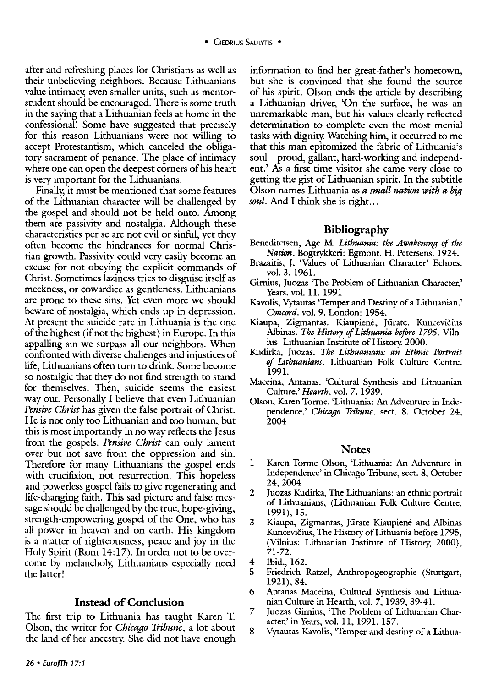after and refreshing places for Christians as well as their unbelieving neighbors. Because Lithuanians value intimacy, even smaller units, such as mentorstudent should be encouraged. There is some truth in the saying that a Lithuanian feels at home in the confessional! Some have suggested that precisely for this reason Lithuanians were not willing to accept Protestantism, which canceled the obligatory sacrament of penance. The place of intimacy where one can open the deepest corners of his heart is very important for the Lithuanians.

Finally, it must be mentioned that some features of the Lithuanian character will be challenged by the gospel and should not be held onto. Among them are passivity and nostalgia. Although these characteristics per se are not evil or sinful, yet they often become the hindrances for normal Christian growth. Passivity could very easily become an excuse for not obeying the explicit commands of Christ. Sometimes laziness tries to disguise itself as meekness, or cowardice as gentleness. Lithuanians are prone to these sins. Yet even more we should beware of nostalgia, which ends up in depression. At present the suicide rate in Lithuania is the one of the highest (if not the highest) in Europe. In this appalling sin we surpass all our neighbors. When confronted with diverse challenges and injustices of life, Lithuanians often turn to drink. Some become so nostalgic that they do not find strength to stand for themselves. Then, suicide seems the easiest way out. Personally I believe that even Lithuanian *Pensive Christ* has given the false portrait of Christ. He is not only too Lithuanian and too human, but this is most importantly in no way reflects the Jesus from the gospels. *Pensive Christ* can only lament over but not save from the oppression and sin. Therefore for many Lithuanians the gospel ends with crucifixion, not resurrection. This hopeless and powerless gospel fails to give regenerating and life-changing faith. This sad picture and false message should be challenged by the true, hope-giving, strength-empowering gospel of the One, who has all power in heaven and on earth. His kingdom is a matter of righteousness, peace and joy in the Holy Spirit (Rom 14:17). In order not to be overcome by melancholy, Lithuanians especially need the latter!

#### **Instead of Conclusion**

The first trip to Lithuania has taught Karen T. Olson, the writer for *Chicago Tribune,* a lot about the land of her ancestry. She did not have enough

information to find her great-father's hometown, but she is convinced that she found the source of his spirit. Olson ends the article by describing a Lithuanian driver, 'On the surface, he was an unremarkable man, but his values clearly reflected determination to complete even the most menial tasks with dignity. Watching him, it occurred to me that this man epitomized the fabric of Lithuania's soul- proud, gallant, hard-working and independent.' As a first time visitor she came very close to getting the gist of Lithuanian spirit. In the subtitle Olson names Lithuania as *a small nation with a big soul.* And I think she is right...

#### **Bibliography**

- Beneditctsen, Age M. *Lithuania: the Awakening of the Nation*. Bogtrykkeri: Egmont. H. Petersens. 1924.
- Brazaitis, J. 'Values of Lithuanian Character' Echoes. vol. 3. 1961.
- Girnius, Juozas 'The Problem of Lithuanian Character,' Years. vol. 11. 1991
- Kavolis, Vytautas 'Temper and Destiny of a Lithuanian.' *Concord.* vol. 9. London: 1954.
- Kiaupa, Zigmantas. Kiaupienė, Jūrate. Kuncevičius Albinas. *The History of Lithuania before* 1795. Vilnius: Lithuanian Institute of History. 2000.
- Kudirka, Juozas. *The Lithuanians: an Ethnic Portrait of Lithuanians.* Lithuanian Folk Culture Centre. 1991.
- Maceina, Antanas. 'Cultural Synthesis and Lithuanian Culture.' *Hearth.* vol. 7. 1939.
- Olson, Karen Torme. 'Lithuania: An Adventure in Independence.' *Chicago Tribune.* sect. 8. October 24, 2004

#### **Notes**

- 1 Karen Torme Olson, 'Lithuania: An Adventure in Independence' in Chicago Tribune, sect. 8, October 24,2004
- 2 Juozas Kudirka, The Lithuanians: an ethnic portrait of Lithuanians, (Lithuanian Folk Culture Centre, 1991), 15.
- 3 Kiaupa, Zigmantas, Jūrate Kiaupienė and Albinas Kuncevičius, The History of Lithuania before 1795, (Vilnius: Lithuanian Institute of History, 2000), 71-72.
- 4 Ibid., 162.
- 5 Friedrich Ratzel, Anthropogeographie (Stuttgart, 1921), 84.
- 6 Antanas Maceina, Cultural Synthesis and Lithuanian Culture in Hearth, vol. 7, 1939, 39-41.
- 7 Juozas Girnius, 'The Problem of Lithuanian Character,' in Years, vol. 11, 1991, 157.
- 8 Vytautas Kavolis, 'Temper and destiny of a Lithua-